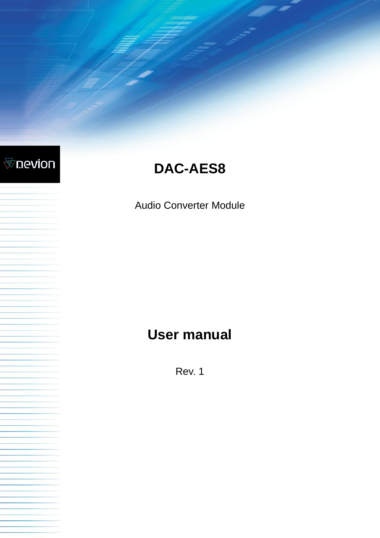

# **DAC-AES8**

Audio Converter Module

# **User manual**

Rev. 1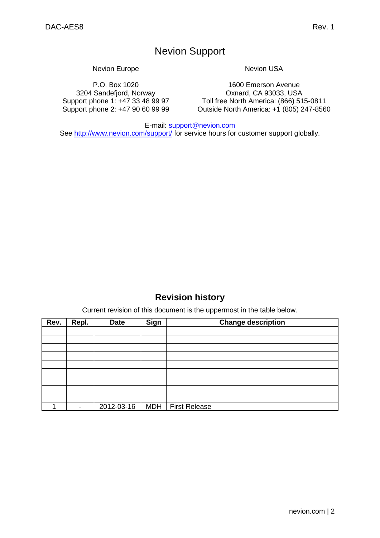## Nevion Support

Nevion Europe

P.O. Box 1020 3204 Sandefjord, Norway Support phone 1: +47 33 48 99 97 Support phone 2: +47 90 60 99 99 Nevion USA

1600 Emerson Avenue Oxnard, CA 93033, USA Toll free North America: (866) 515-0811 Outside North America: +1 (805) 247-8560

E-mail: [support@nevion.com](mailto:support@nevion.com)

See<http://www.nevion.com/support/> for service hours for customer support globally.

## **Revision history**

Current revision of this document is the uppermost in the table below.

<span id="page-1-0"></span>

| Rev. | Repl.                    | <b>Date</b> | Sign       | <b>Change description</b> |
|------|--------------------------|-------------|------------|---------------------------|
|      |                          |             |            |                           |
|      |                          |             |            |                           |
|      |                          |             |            |                           |
|      |                          |             |            |                           |
|      |                          |             |            |                           |
|      |                          |             |            |                           |
|      |                          |             |            |                           |
|      |                          |             |            |                           |
|      |                          |             |            |                           |
|      | $\overline{\phantom{a}}$ | 2012-03-16  | <b>MDH</b> | <b>First Release</b>      |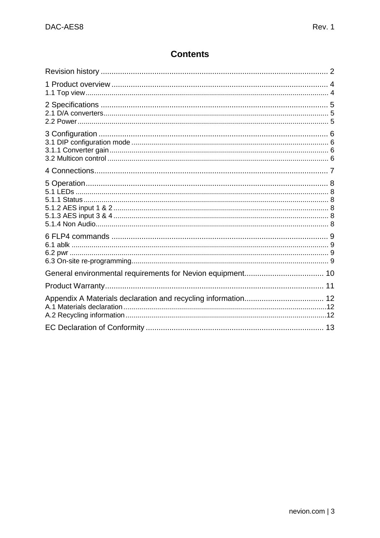## **Contents**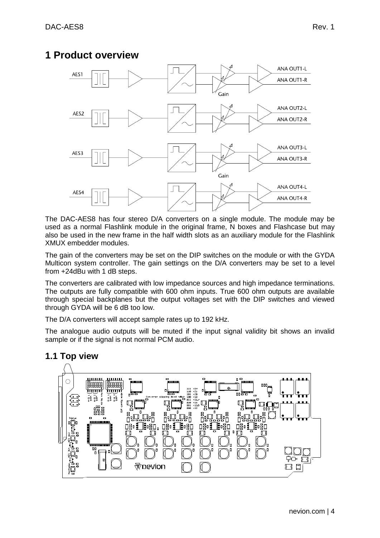## <span id="page-3-0"></span>**1 Product overview**



The DAC-AES8 has four stereo D/A converters on a single module. The module may be used as a normal Flashlink module in the original frame, N boxes and Flashcase but may also be used in the new frame in the half width slots as an auxiliary module for the Flashlink XMUX embedder modules.

The gain of the converters may be set on the DIP switches on the module or with the GYDA Multicon system controller. The gain settings on the D/A converters may be set to a level from +24dBu with 1 dB steps.

The converters are calibrated with low impedance sources and high impedance terminations. The outputs are fully compatible with 600 ohm inputs. True 600 ohm outputs are available through special backplanes but the output voltages set with the DIP switches and viewed through GYDA will be 6 dB too low.

The D/A converters will accept sample rates up to 192 kHz.

The analogue audio outputs will be muted if the input signal validity bit shows an invalid sample or if the signal is not normal PCM audio.

#### ասա инин  $\bigcirc$ **COBBBBB** l õõoooooo ांगागा imm ra<br>Sa Sa sa sa

<span id="page-3-1"></span>**1.1 Top view**

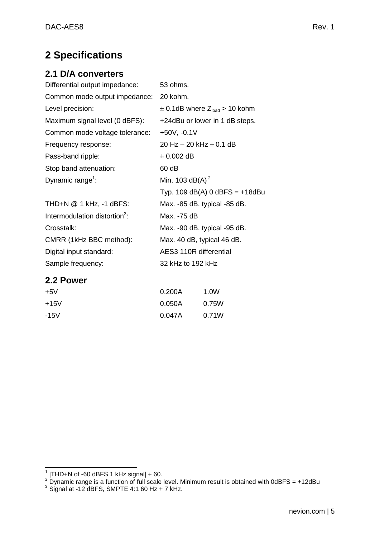## <span id="page-4-0"></span>**2 Specifications**

## <span id="page-4-1"></span>**2.1 D/A converters**

| Differential output impedance:            | 53 ohms.                                      |
|-------------------------------------------|-----------------------------------------------|
| Common mode output impedance:             | 20 kohm.                                      |
| Level precision:                          | $\pm$ 0.1dB where Z <sub>load</sub> > 10 kohm |
| Maximum signal level (0 dBFS):            | +24dBu or lower in 1 dB steps.                |
| Common mode voltage tolerance:            | $+50V, -0.1V$                                 |
| Frequency response:                       | 20 Hz $-$ 20 kHz $\pm$ 0.1 dB                 |
| Pass-band ripple:                         | $\pm$ 0.002 dB                                |
| Stop band attenuation:                    | 60 dB                                         |
| Dynamic range <sup>1</sup> :              | Min. 103 dB(A) <sup>2</sup>                   |
|                                           | Typ. 109 $dB(A)$ 0 dBFS = $+18dBu$            |
| THD+N @ 1 kHz, -1 dBFS:                   | Max. -85 dB, typical -85 dB.                  |
| Intermodulation distortion <sup>3</sup> : | Max. -75 dB                                   |
| Crosstalk:                                | Max. -90 dB, typical -95 dB.                  |
| CMRR (1kHz BBC method):                   | Max. 40 dB, typical 46 dB.                    |
| Digital input standard:                   | AES3 110R differential                        |
| Sample frequency:                         | 32 kHz to 192 kHz                             |
|                                           |                                               |

### <span id="page-4-2"></span>**2.2 Power**

| $+5V$  | 0.200A | 1.0W  |
|--------|--------|-------|
| $+15V$ | 0.050A | 0.75W |
| $-15V$ | 0.047A | 0.71W |

 1 |THD+N of -60 dBFS 1 kHz signal| + 60.

 $^2$  Dynamic range is a function of full scale level. Minimum result is obtained with 0dBFS = +12dBu<br><sup>3</sup> Signal at -12 dBFS, SMPTE 4:1 60 Hz + 7 kHz.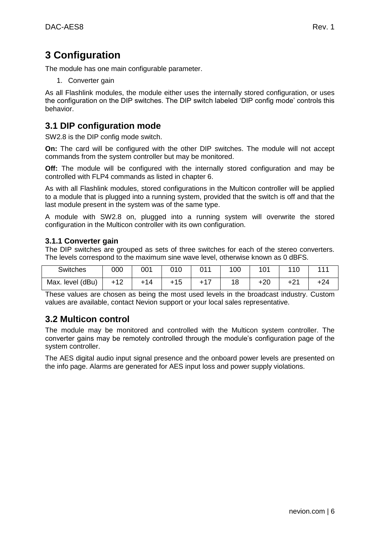## <span id="page-5-0"></span>**3 Configuration**

The module has one main configurable parameter.

1. Converter gain

As all Flashlink modules, the module either uses the internally stored configuration, or uses the configuration on the DIP switches. The DIP switch labeled "DIP config mode" controls this behavior.

### <span id="page-5-1"></span>**3.1 DIP configuration mode**

SW2.8 is the DIP config mode switch.

**On:** The card will be configured with the other DIP switches. The module will not accept commands from the system controller but may be monitored.

**Off:** The module will be configured with the internally stored configuration and may be controlled with FLP4 commands as listed in chapter 6.

As with all Flashlink modules, stored configurations in the Multicon controller will be applied to a module that is plugged into a running system, provided that the switch is off and that the last module present in the system was of the same type.

A module with SW2.8 on, plugged into a running system will overwrite the stored configuration in the Multicon controller with its own configuration.

#### <span id="page-5-2"></span>**3.1.1 Converter gain**

The DIP switches are grouped as sets of three switches for each of the stereo converters. The levels correspond to the maximum sine wave level, otherwise known as 0 dBFS.

| <b>Switches</b>  | 000   | 001            | 010 | $\bigcap$ 1 | 100 | 101   | 110   | 444 |
|------------------|-------|----------------|-----|-------------|-----|-------|-------|-----|
| Max. level (dBu) | $+12$ | $\pm 1\Lambda$ | +15 |             | 1 Q | $+20$ | $+21$ |     |

These values are chosen as being the most used levels in the broadcast industry. Custom values are available, contact Nevion support or your local sales representative.

### <span id="page-5-3"></span>**3.2 Multicon control**

The module may be monitored and controlled with the Multicon system controller. The converter gains may be remotely controlled through the module"s configuration page of the system controller.

The AES digital audio input signal presence and the onboard power levels are presented on the info page. Alarms are generated for AES input loss and power supply violations.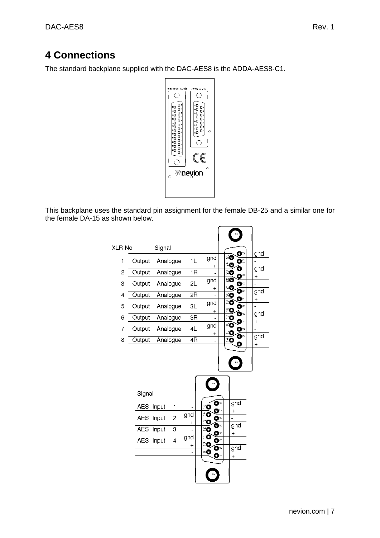## <span id="page-6-0"></span>**4 Connections**

The standard backplane supplied with the DAC-AES8 is the ADDA-AES8-C1.



This backplane uses the standard pin assignment for the female DB-25 and a similar one for the female DA-15 as shown below.

| XLR No. |                                                         | Signal                           |                                                                  |                              |                                                                                                                   |                           | o۳                                            |                 |
|---------|---------------------------------------------------------|----------------------------------|------------------------------------------------------------------|------------------------------|-------------------------------------------------------------------------------------------------------------------|---------------------------|-----------------------------------------------|-----------------|
| 1       | Output                                                  |                                  | Analogue                                                         | 1L                           | gnd                                                                                                               | ಸಿರ                       | פנ                                            | gnd             |
| 2       | Output                                                  |                                  | Analogue                                                         | 1R                           | +                                                                                                                 | ្តិឲ្<br>ឌឲ               | Ω                                             | gnd             |
|         |                                                         |                                  |                                                                  |                              | gnd                                                                                                               | 80                        | Ōº                                            | +               |
| 3       | Output                                                  |                                  | Analogue                                                         | 2L                           | +                                                                                                                 | ನ೦                        | o۳<br>ο∞                                      | gnd             |
| 4       | Output                                                  |                                  | Analogue                                                         | 2R                           |                                                                                                                   | ನಿ                        | Dr                                            | +               |
| 5       | Output                                                  |                                  | Analogue                                                         | 3L                           | gnd<br>+                                                                                                          | ≗α<br>$^{\circ}$ O        | ტი                                            |                 |
| 6       | Output                                                  |                                  | Analogue                                                         | $\overline{\text{3R}}$       |                                                                                                                   | Ē٥                        | C                                             | g <sub>nd</sub> |
| 7       | Output                                                  |                                  | Analogue                                                         | 4L                           | gnd                                                                                                               | $\overline{\mathbf{c}}$   | ு⊲<br>O∘                                      | $\pmb{+}$       |
| 8       | Output                                                  |                                  | Analogue                                                         | $\overline{4R}$              | +                                                                                                                 | ≌O<br>ΞO                  | ο∾<br>o                                       | gnd<br>+        |
|         | Signal<br><b>AES</b><br><b>AES</b><br><b>AES</b><br>AES | Input<br>Input<br>Input<br>Input | $\overline{\mathbf{1}}$<br>$\overline{2}$<br>$\overline{3}$<br>4 | gnd<br>+<br>gnd<br>$\pmb{+}$ | Ó™<br>$\mathbf{C}$<br>Ο<br>ΞO<br>ø۰<br>$^{\circ}$ Q<br>O۴<br>$\tilde{=}$ 0<br>O۰<br>ΞØ<br>$\epsilon$<br>Ō٠<br>ං ල | +<br>+<br>•9<br>$\ddot{}$ | g <sub>nd</sub><br>gnd<br>$gn$ $\overline{d}$ |                 |
|         |                                                         |                                  |                                                                  |                              |                                                                                                                   |                           |                                               |                 |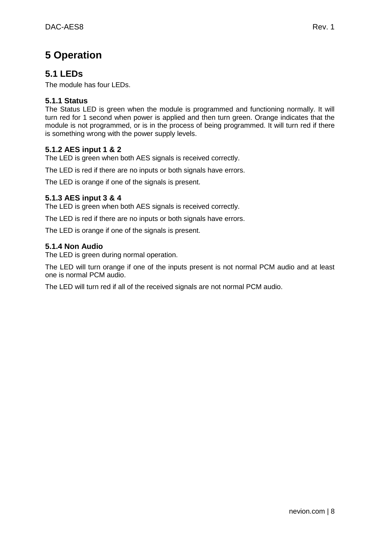## <span id="page-7-0"></span>**5 Operation**

## <span id="page-7-1"></span>**5.1 LEDs**

The module has four LEDs.

#### <span id="page-7-2"></span>**5.1.1 Status**

The Status LED is green when the module is programmed and functioning normally. It will turn red for 1 second when power is applied and then turn green. Orange indicates that the module is not programmed, or is in the process of being programmed. It will turn red if there is something wrong with the power supply levels.

#### <span id="page-7-3"></span>**5.1.2 AES input 1 & 2**

The LED is green when both AES signals is received correctly.

The LED is red if there are no inputs or both signals have errors.

The LED is orange if one of the signals is present.

#### <span id="page-7-4"></span>**5.1.3 AES input 3 & 4**

The LED is green when both AES signals is received correctly.

The LED is red if there are no inputs or both signals have errors.

The LED is orange if one of the signals is present.

#### <span id="page-7-5"></span>**5.1.4 Non Audio**

The LED is green during normal operation.

The LED will turn orange if one of the inputs present is not normal PCM audio and at least one is normal PCM audio.

The LED will turn red if all of the received signals are not normal PCM audio.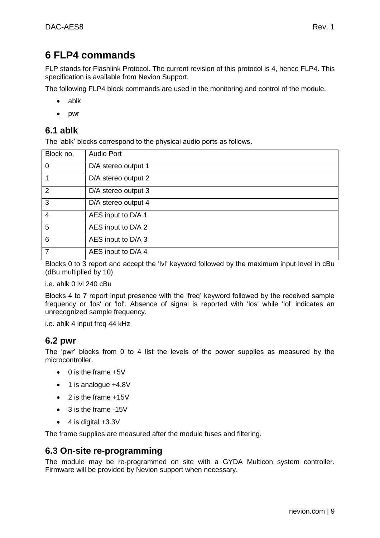## <span id="page-8-0"></span>**6 FLP4 commands**

FLP stands for Flashlink Protocol. The current revision of this protocol is 4, hence FLP4. This specification is available from Nevion Support.

The following FLP4 block commands are used in the monitoring and control of the module.

- ablk
- pwr

### <span id="page-8-1"></span>**6.1 ablk**

The "ablk" blocks correspond to the physical audio ports as follows.

| Block no.      | <b>Audio Port</b>   |
|----------------|---------------------|
| $\overline{0}$ | D/A stereo output 1 |
|                | D/A stereo output 2 |
| $\overline{2}$ | D/A stereo output 3 |
| $\overline{3}$ | D/A stereo output 4 |
| $\overline{4}$ | AES input to D/A 1  |
| 5              | AES input to D/A 2  |
| 6              | AES input to D/A 3  |
|                | AES input to D/A 4  |

Blocks 0 to 3 report and accept the "lvl" keyword followed by the maximum input level in cBu (dBu multiplied by 10).

i.e. ablk 0 lvl 240 cBu

Blocks 4 to 7 report input presence with the "freq" keyword followed by the received sample frequency or 'los' or 'lol'. Absence of signal is reported with 'los' while 'lol' indicates an unrecognized sample frequency.

i.e. ablk 4 input freq 44 kHz

### <span id="page-8-2"></span>**6.2 pwr**

The "pwr" blocks from 0 to 4 list the levels of the power supplies as measured by the microcontroller.

- $\bullet$  0 is the frame  $+5V$
- 1 is analogue +4.8V
- 2 is the frame +15V
- 3 is the frame -15V
- $\bullet$  4 is digital  $+3.3V$

The frame supplies are measured after the module fuses and filtering.

### <span id="page-8-3"></span>**6.3 On-site re-programming**

The module may be re-programmed on site with a GYDA Multicon system controller. Firmware will be provided by Nevion support when necessary.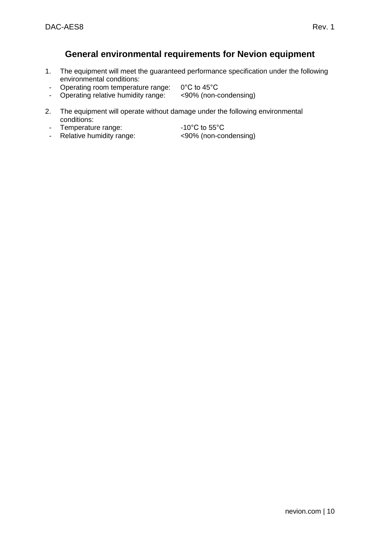### <span id="page-9-0"></span>**General environmental requirements for Nevion equipment**

- 1. The equipment will meet the guaranteed performance specification under the following environmental conditions:
- 
- Operating room temperature range: 0°C to 45°C<br>- Operating relative humidity range: <90% (non-condensing) - Operating relative humidity range:
- 2. The equipment will operate without damage under the following environmental conditions:
- Temperature range:  $-10^{\circ}$ C to 55°C
- Relative humidity range: <90% (non-condensing)
- -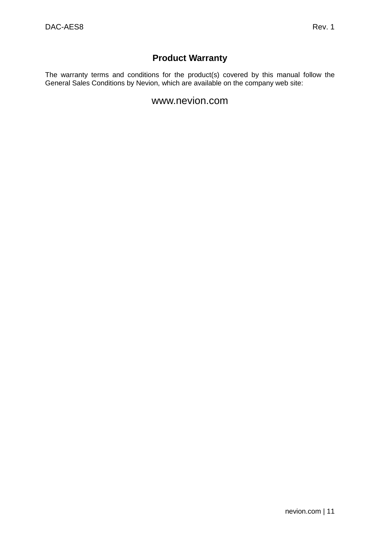## **Product Warranty**

<span id="page-10-0"></span>The warranty terms and conditions for the product(s) covered by this manual follow the General Sales Conditions by Nevion, which are available on the company web site:

## www.nevion.com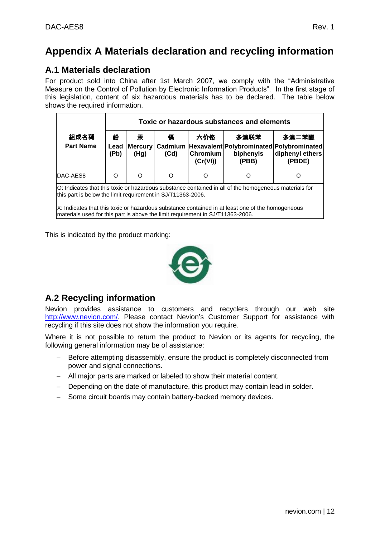## <span id="page-11-0"></span>**Appendix A Materials declaration and recycling information**

## <span id="page-11-1"></span>**A.1 Materials declaration**

For product sold into China after 1st March 2007, we comply with the "Administrative Measure on the Control of Pollution by Electronic Information Products". In the first stage of this legislation, content of six hazardous materials has to be declared. The table below shows the required information.

|                          |                   |           |           |                             | Toxic or hazardous substances and elements |                                                                                                        |
|--------------------------|-------------------|-----------|-----------|-----------------------------|--------------------------------------------|--------------------------------------------------------------------------------------------------------|
| 組成名稱<br><b>Part Name</b> | 鉛<br>Lead<br>(Pb) | 汞<br>(Hg) | 镉<br>(Cd) | 六价铬<br>Chromium<br>(Cr(VI)) | 多溴联苯<br>biphenyls<br>(PBB)                 | 多溴二苯醚<br>Mercury   Cadmium   Hexavalent   Polybrominated   Polybrominated<br>diphenyl ethers<br>(PBDE) |
| DAC-AES8                 | Ω                 | ∩         | Ω         |                             |                                            | റ                                                                                                      |

O: Indicates that this toxic or hazardous substance contained in all of the homogeneous materials for this part is below the limit requirement in SJ/T11363-2006.

X: Indicates that this toxic or hazardous substance contained in at least one of the homogeneous materials used for this part is above the limit requirement in SJ/T11363-2006.

This is indicated by the product marking:



## <span id="page-11-2"></span>**A.2 Recycling information**

Nevion provides assistance to customers and recyclers through our web site [http://www.nevion.com/.](http://www.nevion.com/) Please contact Nevion"s Customer Support for assistance with recycling if this site does not show the information you require.

Where it is not possible to return the product to Nevion or its agents for recycling, the following general information may be of assistance:

- Before attempting disassembly, ensure the product is completely disconnected from power and signal connections.
- All major parts are marked or labeled to show their material content.
- Depending on the date of manufacture, this product may contain lead in solder.
- Some circuit boards may contain battery-backed memory devices.